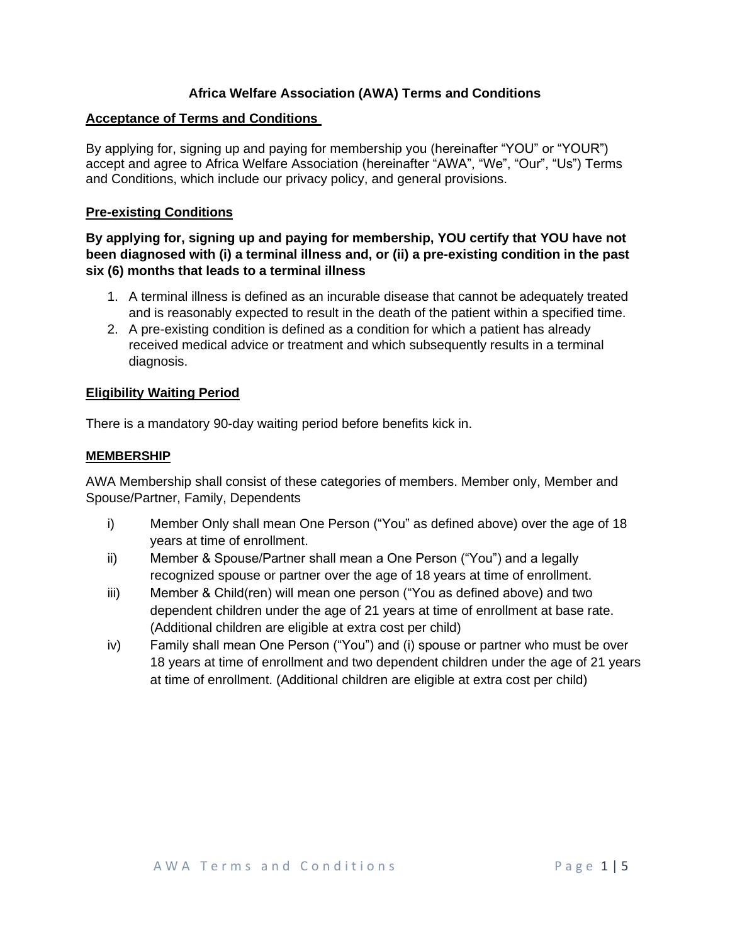# **Africa Welfare Association (AWA) Terms and Conditions**

# **Acceptance of Terms and Conditions**

By applying for, signing up and paying for membership you (hereinafter "YOU" or "YOUR") accept and agree to Africa Welfare Association (hereinafter "AWA", "We", "Our", "Us") Terms and Conditions, which include our privacy policy, and general provisions.

# **Pre-existing Conditions**

**By applying for, signing up and paying for membership, YOU certify that YOU have not been diagnosed with (i) a terminal illness and, or (ii) a pre-existing condition in the past six (6) months that leads to a terminal illness**

- 1. A terminal illness is defined as an incurable disease that cannot be adequately treated and is reasonably expected to result in the death of the patient within a specified time.
- 2. A pre-existing condition is defined as a condition for which a patient has already received medical advice or treatment and which subsequently results in a terminal diagnosis.

# **Eligibility Waiting Period**

There is a mandatory 90-day waiting period before benefits kick in.

# **MEMBERSHIP**

AWA Membership shall consist of these categories of members. Member only, Member and Spouse/Partner, Family, Dependents

- i) Member Only shall mean One Person ("You" as defined above) over the age of 18 years at time of enrollment.
- ii) Member & Spouse/Partner shall mean a One Person ("You") and a legally recognized spouse or partner over the age of 18 years at time of enrollment.
- iii) Member & Child(ren) will mean one person ("You as defined above) and two dependent children under the age of 21 years at time of enrollment at base rate. (Additional children are eligible at extra cost per child)
- iv) Family shall mean One Person ("You") and (i) spouse or partner who must be over 18 years at time of enrollment and two dependent children under the age of 21 years at time of enrollment. (Additional children are eligible at extra cost per child)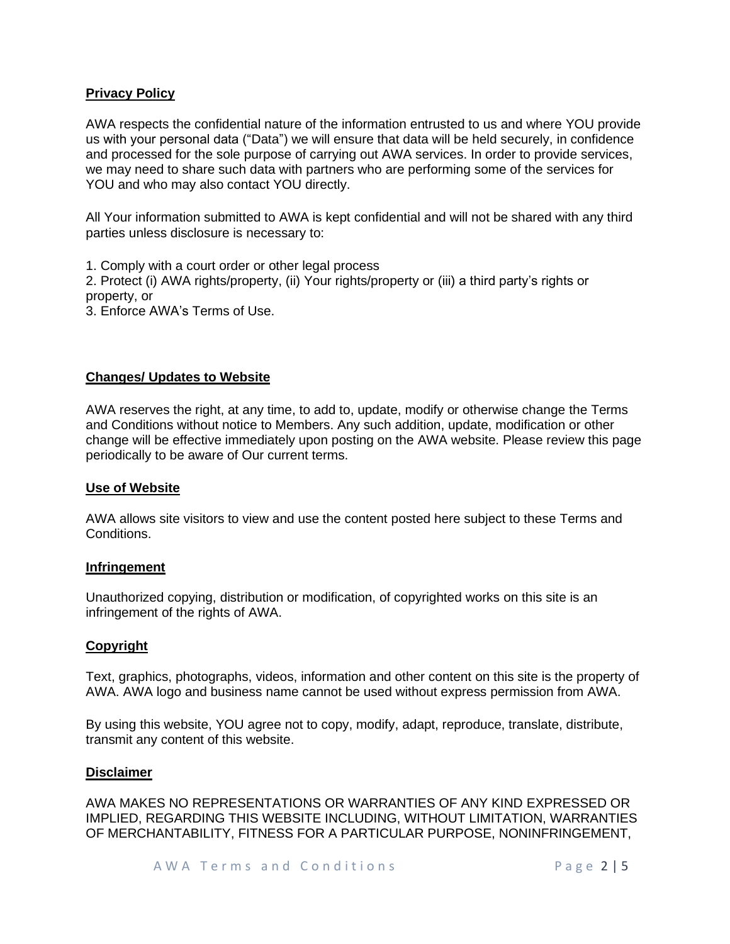# **Privacy Policy**

AWA respects the confidential nature of the information entrusted to us and where YOU provide us with your personal data ("Data") we will ensure that data will be held securely, in confidence and processed for the sole purpose of carrying out AWA services. In order to provide services, we may need to share such data with partners who are performing some of the services for YOU and who may also contact YOU directly.

All Your information submitted to AWA is kept confidential and will not be shared with any third parties unless disclosure is necessary to:

1. Comply with a court order or other legal process

2. Protect (i) AWA rights/property, (ii) Your rights/property or (iii) a third party's rights or property, or

3. Enforce AWA's Terms of Use.

### **Changes/ Updates to Website**

AWA reserves the right, at any time, to add to, update, modify or otherwise change the Terms and Conditions without notice to Members. Any such addition, update, modification or other change will be effective immediately upon posting on the AWA website. Please review this page periodically to be aware of Our current terms.

#### **Use of Website**

AWA allows site visitors to view and use the content posted here subject to these Terms and Conditions.

#### **Infringement**

Unauthorized copying, distribution or modification, of copyrighted works on this site is an infringement of the rights of AWA.

### **Copyright**

Text, graphics, photographs, videos, information and other content on this site is the property of AWA. AWA logo and business name cannot be used without express permission from AWA.

By using this website, YOU agree not to copy, modify, adapt, reproduce, translate, distribute, transmit any content of this website.

#### **Disclaimer**

AWA MAKES NO REPRESENTATIONS OR WARRANTIES OF ANY KIND EXPRESSED OR IMPLIED, REGARDING THIS WEBSITE INCLUDING, WITHOUT LIMITATION, WARRANTIES OF MERCHANTABILITY, FITNESS FOR A PARTICULAR PURPOSE, NONINFRINGEMENT,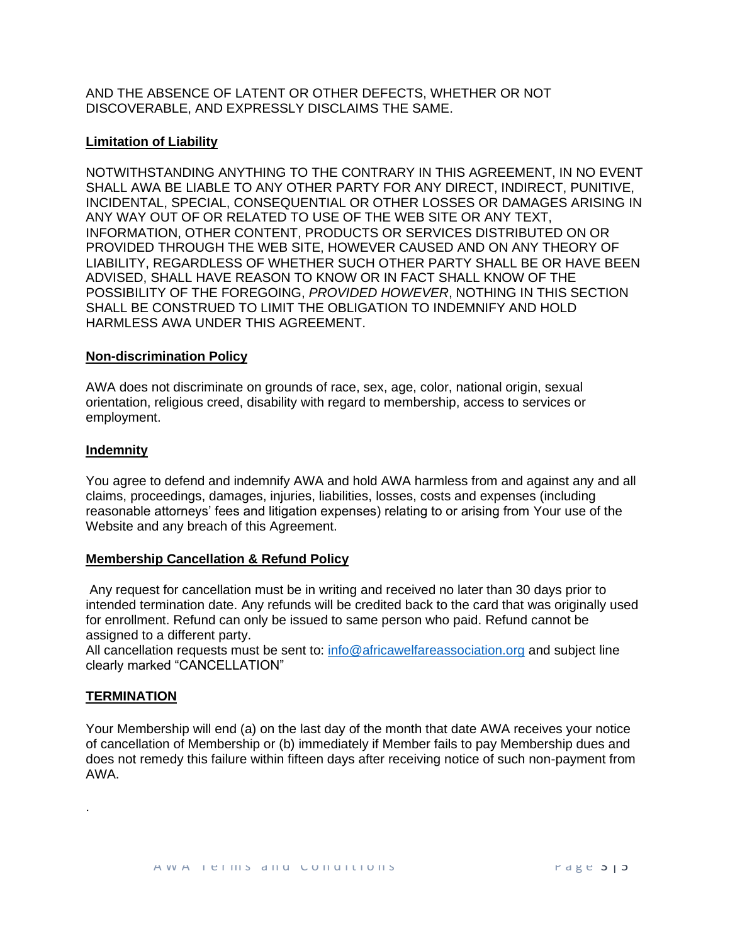AND THE ABSENCE OF LATENT OR OTHER DEFECTS, WHETHER OR NOT DISCOVERABLE, AND EXPRESSLY DISCLAIMS THE SAME.

### **Limitation of Liability**

NOTWITHSTANDING ANYTHING TO THE CONTRARY IN THIS AGREEMENT, IN NO EVENT SHALL AWA BE LIABLE TO ANY OTHER PARTY FOR ANY DIRECT, INDIRECT, PUNITIVE, INCIDENTAL, SPECIAL, CONSEQUENTIAL OR OTHER LOSSES OR DAMAGES ARISING IN ANY WAY OUT OF OR RELATED TO USE OF THE WEB SITE OR ANY TEXT, INFORMATION, OTHER CONTENT, PRODUCTS OR SERVICES DISTRIBUTED ON OR PROVIDED THROUGH THE WEB SITE, HOWEVER CAUSED AND ON ANY THEORY OF LIABILITY, REGARDLESS OF WHETHER SUCH OTHER PARTY SHALL BE OR HAVE BEEN ADVISED, SHALL HAVE REASON TO KNOW OR IN FACT SHALL KNOW OF THE POSSIBILITY OF THE FOREGOING, *PROVIDED HOWEVER*, NOTHING IN THIS SECTION SHALL BE CONSTRUED TO LIMIT THE OBLIGATION TO INDEMNIFY AND HOLD HARMLESS AWA UNDER THIS AGREEMENT.

### **Non-discrimination Policy**

AWA does not discriminate on grounds of race, sex, age, color, national origin, sexual orientation, religious creed, disability with regard to membership, access to services or employment.

### **Indemnity**

You agree to defend and indemnify AWA and hold AWA harmless from and against any and all claims, proceedings, damages, injuries, liabilities, losses, costs and expenses (including reasonable attorneys' fees and litigation expenses) relating to or arising from Your use of the Website and any breach of this Agreement.

### **Membership Cancellation & Refund Policy**

Any request for cancellation must be in writing and received no later than 30 days prior to intended termination date. Any refunds will be credited back to the card that was originally used for enrollment. Refund can only be issued to same person who paid. Refund cannot be assigned to a different party.

All cancellation requests must be sent to: [info@africawelfareassociation.org](mailto:info@africawelfareassociation.org) and subject line clearly marked "CANCELLATION"

# **TERMINATION**

.

Your Membership will end (a) on the last day of the month that date AWA receives your notice of cancellation of Membership or (b) immediately if Member fails to pay Membership dues and does not remedy this failure within fifteen days after receiving notice of such non-payment from AWA.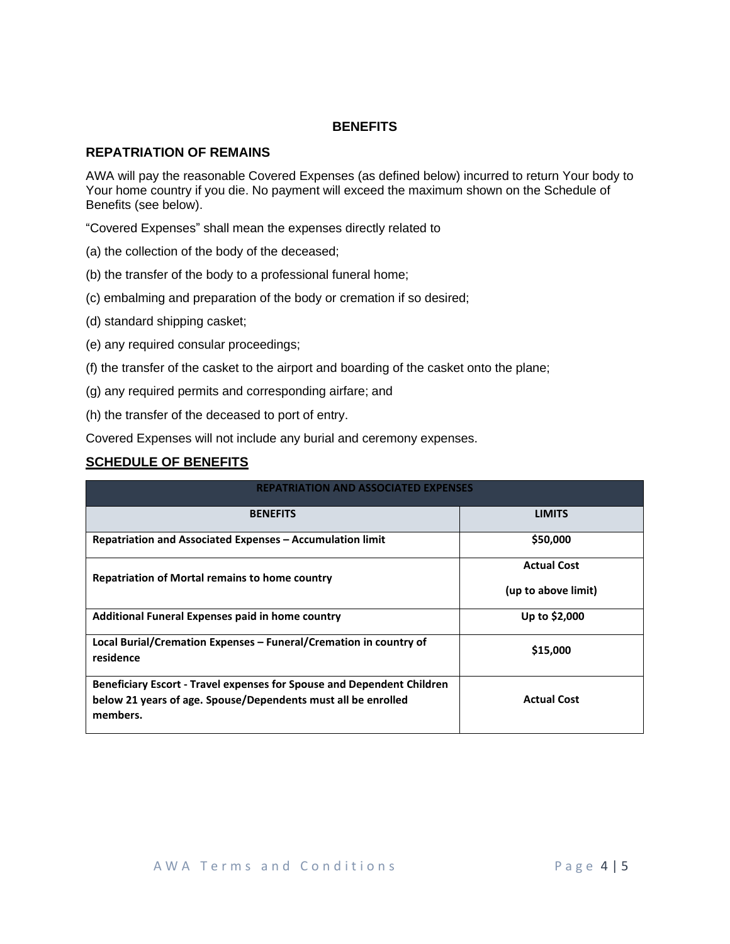# **BENEFITS**

# **REPATRIATION OF REMAINS**

AWA will pay the reasonable Covered Expenses (as defined below) incurred to return Your body to Your home country if you die. No payment will exceed the maximum shown on the Schedule of Benefits (see below).

"Covered Expenses" shall mean the expenses directly related to

- (a) the collection of the body of the deceased;
- (b) the transfer of the body to a professional funeral home;
- (c) embalming and preparation of the body or cremation if so desired;
- (d) standard shipping casket;
- (e) any required consular proceedings;
- (f) the transfer of the casket to the airport and boarding of the casket onto the plane;
- (g) any required permits and corresponding airfare; and
- (h) the transfer of the deceased to port of entry.

Covered Expenses will not include any burial and ceremony expenses.

# **SCHEDULE OF BENEFITS**

| <b>REPATRIATION AND ASSOCIATED EXPENSES</b>                                                                                                    |                     |
|------------------------------------------------------------------------------------------------------------------------------------------------|---------------------|
| <b>BENEFITS</b>                                                                                                                                | <b>LIMITS</b>       |
| Repatriation and Associated Expenses - Accumulation limit                                                                                      | \$50,000            |
| Repatriation of Mortal remains to home country                                                                                                 | <b>Actual Cost</b>  |
|                                                                                                                                                | (up to above limit) |
| Additional Funeral Expenses paid in home country                                                                                               | Up to \$2,000       |
| Local Burial/Cremation Expenses – Funeral/Cremation in country of<br>residence                                                                 | \$15,000            |
| <b>Beneficiary Escort - Travel expenses for Spouse and Dependent Children</b><br>below 21 years of age. Spouse/Dependents must all be enrolled | <b>Actual Cost</b>  |
| members.                                                                                                                                       |                     |